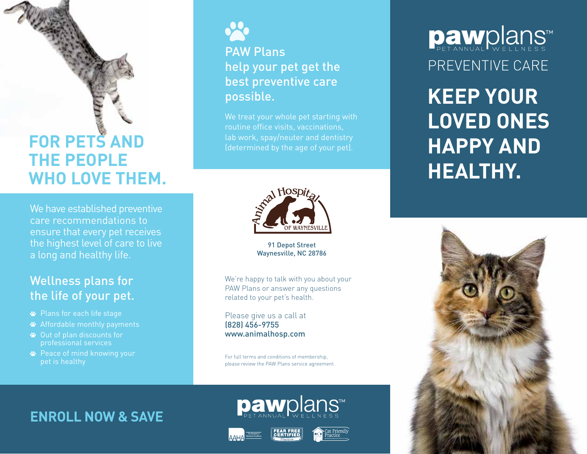# **FOR PETS AND THE PEOPLE WHO LOVE THEM.**

We have established preventive care recommendations to ensure that every pet receives the highest level of care to live a long and healthy life.

## Wellness plans for the life of your pet.

- Plans for each life stage
- Affordable monthly payments
- Out of plan discounts for professional services
- **<sup>■</sup>** Peace of mind knowing your pet is healthy



## PAW Plans help your pet get the best preventive care possible.

We treat your whole pet starting with routine office visits, vaccinations, lab work, spay/neuter and dentistry



91 Depot Street Waynesville, NC 28786

We're happy to talk with you about your PAW Plans or answer any questions related to your pet's health.

Please give us a call at (828) 456-9755 www.animalhosp.com

For full terms and conditions of membership, please review the PAW Plans service agreement.

pawplans<sup>™</sup>

## **ENROLL NOW & SAVE**





# PREVENTIVE CARE Dawplans

**KEEP YOUR LOVED ONES HAPPY AND HEALTHY.**